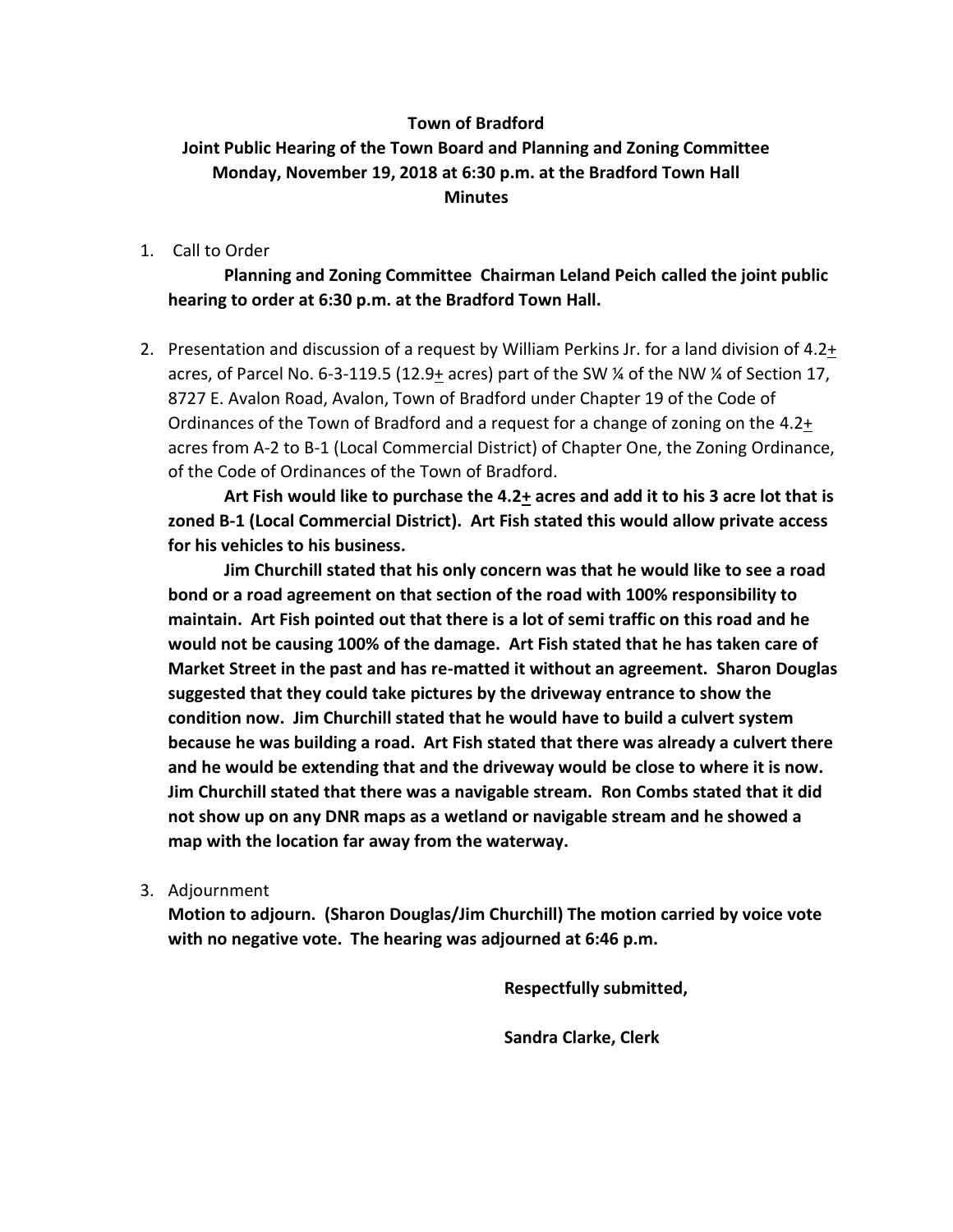## **Town of Bradford Joint Public Hearing of the Town Board and Planning and Zoning Committee Monday, November 19, 2018 at 6:30 p.m. at the Bradford Town Hall Minutes**

1. Call to Order

**Planning and Zoning Committee Chairman Leland Peich called the joint public hearing to order at 6:30 p.m. at the Bradford Town Hall.** 

2. Presentation and discussion of a request by William Perkins Jr. for a land division of 4.2+ acres, of Parcel No. 6-3-119.5 (12.9+ acres) part of the SW  $\frac{1}{4}$  of the NW  $\frac{1}{4}$  of Section 17, 8727 E. Avalon Road, Avalon, Town of Bradford under Chapter 19 of the Code of Ordinances of the Town of Bradford and a request for a change of zoning on the 4.2+ acres from A-2 to B-1 (Local Commercial District) of Chapter One, the Zoning Ordinance, of the Code of Ordinances of the Town of Bradford.

**Art Fish would like to purchase the 4.2+ acres and add it to his 3 acre lot that is zoned B-1 (Local Commercial District). Art Fish stated this would allow private access for his vehicles to his business.** 

**Jim Churchill stated that his only concern was that he would like to see a road bond or a road agreement on that section of the road with 100% responsibility to maintain. Art Fish pointed out that there is a lot of semi traffic on this road and he would not be causing 100% of the damage. Art Fish stated that he has taken care of Market Street in the past and has re-matted it without an agreement. Sharon Douglas suggested that they could take pictures by the driveway entrance to show the condition now. Jim Churchill stated that he would have to build a culvert system because he was building a road. Art Fish stated that there was already a culvert there and he would be extending that and the driveway would be close to where it is now. Jim Churchill stated that there was a navigable stream. Ron Combs stated that it did not show up on any DNR maps as a wetland or navigable stream and he showed a map with the location far away from the waterway.**

3. Adjournment

**Motion to adjourn. (Sharon Douglas/Jim Churchill) The motion carried by voice vote with no negative vote. The hearing was adjourned at 6:46 p.m.**

**Respectfully submitted,**

**Sandra Clarke, Clerk**